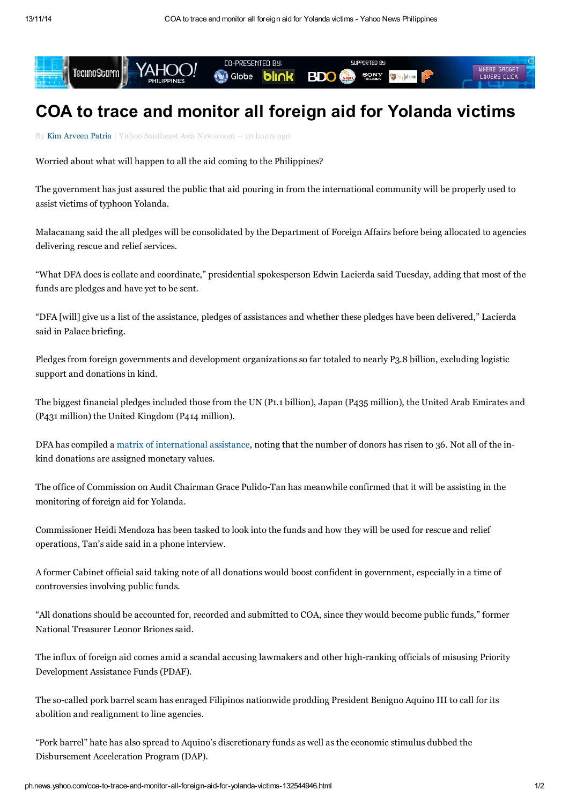

## COA to trace and monitor all foreign aid for Yolanda victims

By Kim [Arveen](http://ph.news.yahoo.com/blogs/author/kim-arveen-patria/) Patria | Yahoo Southeast Asia Newsroom – 10 hours ago

Worried about what will happen to all the aid coming to the Philippines?

The government has just assured the public that aid pouring in from the international community will be properly used to assist victims of typhoon Yolanda.

Malacanang said the all pledges will be consolidated by the Department of Foreign Affairs before being allocated to agencies delivering rescue and relief services.

"What DFA does is collate and coordinate," presidential spokesperson Edwin Lacierda said Tuesday, adding that most of the funds are pledges and have yet to be sent.

"DFA [will] give us a list of the assistance, pledges of assistances and whether these pledges have been delivered," Lacierda said in Palace briefing.

Pledges from foreign governments and development organizations so far totaled to nearly P3.8 billion, excluding logistic support and donations in kind.

The biggest financial pledges included those from the UN (P1.1 billion), Japan (P435 million), the United Arab Emirates and (P431 million) the United Kingdom (P414 million).

DFA has compiled a matrix of [international](http://www.gov.ph/crisis-response/updates-typhoon-yolanda/international-assistance/) assistance, noting that the number of donors has risen to 36. Not all of the inkind donations are assigned monetary values.

The office of Commission on Audit Chairman Grace Pulido-Tan has meanwhile confirmed that it will be assisting in the monitoring of foreign aid for Yolanda.

Commissioner Heidi Mendoza has been tasked to look into the funds and how they will be used for rescue and relief operations, Tan's aide said in a phone interview.

A former Cabinet official said taking note of all donations would boost confident in government, especially in a time of controversies involving public funds.

"All donations should be accounted for, recorded and submitted to COA, since they would become public funds," former National Treasurer Leonor Briones said.

The influx of foreign aid comes amid a scandal accusing lawmakers and other high-ranking officials of misusing Priority Development Assistance Funds (PDAF).

The so-called pork barrel scam has enraged Filipinos nationwide prodding President Benigno Aquino III to call for its abolition and realignment to line agencies.

"Pork barrel" hate has also spread to Aquino's discretionary funds as well as the economic stimulus dubbed the Disbursement Acceleration Program (DAP).